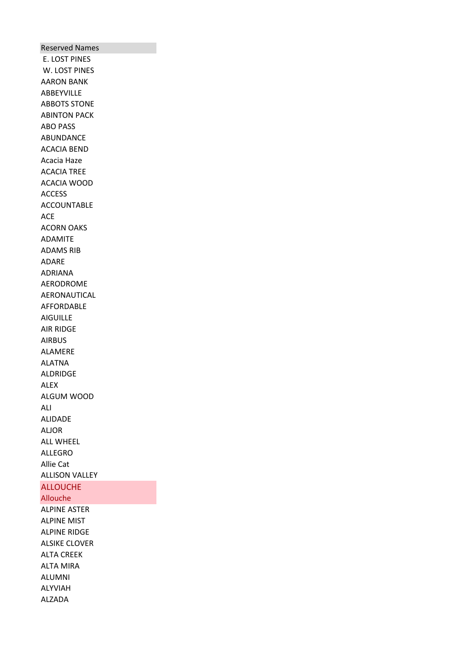Reserved Names E. LOST PINES W. LOST PINES AARON BANK ABBEYVILLE ABBOTS STONE ABINTON PACK ABO PASS ABUNDANCE ACACIA BEND Acacia Haze ACACIA TREE ACACIA WOOD ACCESS ACCOUNTABLE ACE ACORN OAKS ADAMITE ADAMS RIB ADARE ADRIANA AERODROME AERONAUTICAL AFFORDABLE AIGUILLE AIR RIDGE AIRBUS ALAMERE ALATNA ALDRIDGE ALEX ALGUM WOOD ALI ALIDADE ALJOR ALL WHEEL ALLEGRO Allie Cat ALLISON VALLEY ALLOUCHE Allouche ALPINE ASTER ALPINE MIST

ALPINE RIDGE ALSIKE CLOVER ALTA CREEK ALTA MIRA ALUMNI ALYVIAH ALZADA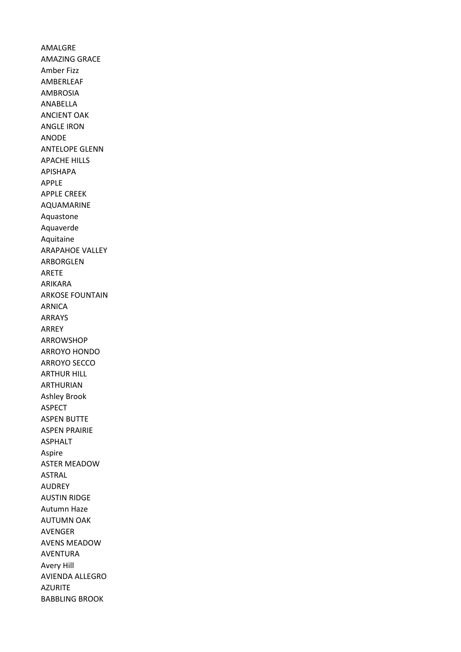AMALGRE AMAZING GRACE Amber Fizz AMBERLEAF AMBROSIA ANABELLA ANCIENT OAK ANGLE IRON ANODE ANTELOPE GLENN APACHE HILLS APISHAPA APPLE APPLE CREEK AQUAMARINE Aquastone Aquaverde Aquitaine ARAPAHOE VALLEY ARBORGLEN ARETE ARIKARA ARKOSE FOUNTAIN ARNICA ARRAYS ARREY ARROWSHOP ARROYO HONDO ARROYO SECCO ARTHUR HILL ARTHURIAN Ashley Brook ASPECT ASPEN BUTTE ASPEN PRAIRIE ASPHALT Aspire ASTER MEADOW ASTRAL AUDREY AUSTIN RIDGE Autumn Haze AUTUMN OAK AVENGER AVENS MEADOW AVENTURA Avery Hill AVIENDA ALLEGRO AZURITE BABBLING BROOK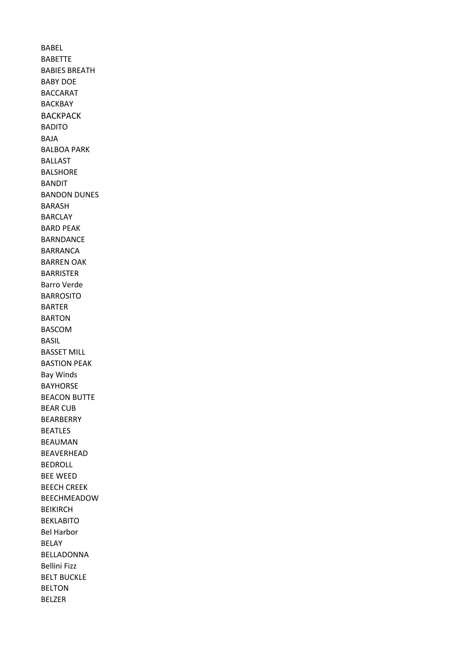BABEL BABETTE BABIES BREATH BABY DOE BACCARAT BACKBAY BACKPACK BADITO BAJA BALBOA PARK BALLAST BALSHORE BANDIT BANDON DUNES BARASH BARCLAY BARD PEAK BARNDANCE BARRANCA BARREN OAK BARRISTER Barro Verde BARROSITO BARTER BARTON BASCOM BASIL BASSET MILL BASTION PEAK Bay Winds BAYHORSE BEACON BUTTE BEAR CUB BEARBERRY BEATLES BEAUMAN BEAVERHEAD BEDROLL BEE WEED BEECH CREEK BEECHMEADOW BEIKIRCH BEKLABITO Bel Harbor BELAY BELLADONNA Bellini Fizz BELT BUCKLE BELTON BELZER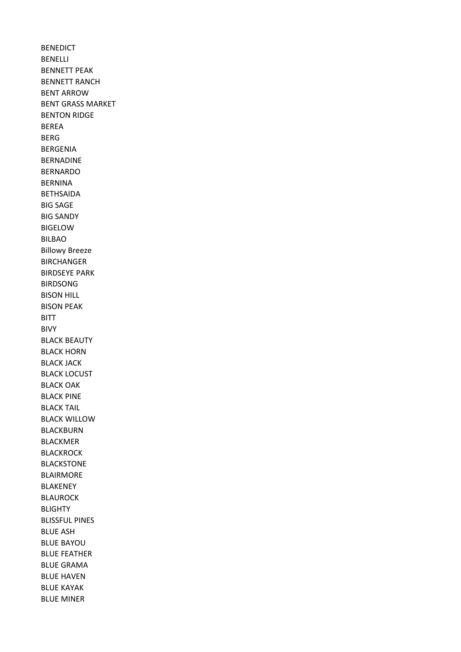BENEDICT BENELLI BENNETT PEAK BENNETT RANCH BENT ARROW BENT GRASS MARKET BENTON RIDGE BEREA BERG BERGENIA BERNADINE BERNARDO BERNINA BETHSAIDA BIG SAGE BIG SANDY BIGELOW BILBAO Billowy Breeze BIRCHANGER BIRDSEYE PARK BIRDSONG BISON HILL BISON PEAK BITT BIVY BLACK BEAUTY BLACK HORN BLACK JACK BLACK LOCUST BLACK OAK BLACK PINE BLACK TAIL BLACK WILLOW BLACKBURN BLACKMER **BLACKROCK** BLACKSTONE BLAIRMORE BLAKENEY BLAUROCK BLIGHTY BLISSFUL PINES BLUE ASH BLUE BAYOU BLUE FEATHER BLUE GRAMA BLUE HAVEN BLUE KAYAK BLUE MINER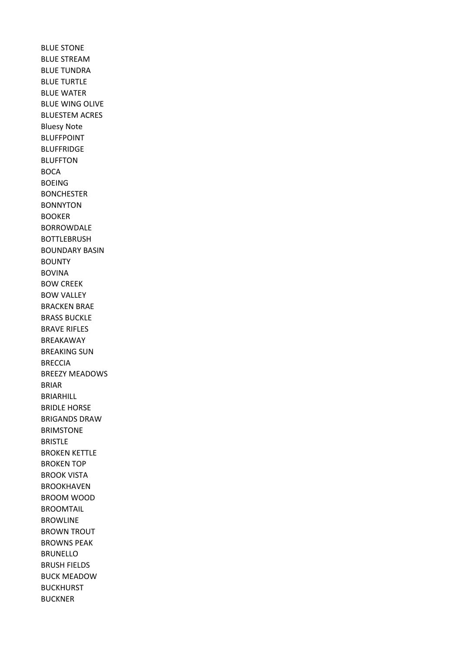BLUE STONE BLUE STREAM BLUE TUNDRA BLUE TURTLE BLUE WATER BLUE WING OLIVE BLUESTEM ACRES Bluesy Note BLUFFPOINT BLUFFRIDGE BLUFFTON BOCA BOEING BONCHESTER BONNYTON BOOKER BORROWDALE BOTTLEBRUSH BOUNDARY BASIN BOUNTY BOVINA BOW CREEK BOW VALLEY BRACKEN BRAE BRASS BUCKLE BRAVE RIFLES BREAKAWAY BREAKING SUN BRECCIA BREEZY MEADOWS BRIAR BRIARHILL BRIDLE HORSE BRIGANDS DRAW BRIMSTONE BRISTLE BROKEN KETTLE BROKEN TOP BROOK VISTA BROOKHAVEN BROOM WOOD BROOMTAIL BROWLINE BROWN TROUT BROWNS PEAK BRUNELLO BRUSH FIELDS BUCK MEADOW BUCKHURST BUCKNER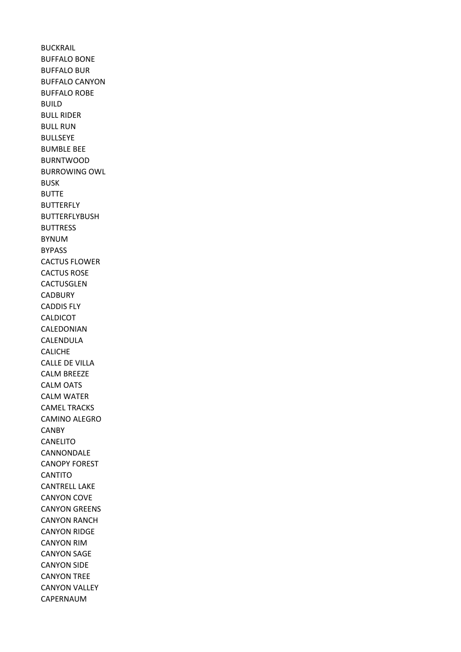BUCKRAIL BUFFALO BONE BUFFALO BUR BUFFALO CANYON BUFFALO ROBE BUILD BULL RIDER BULL RUN BULLSEYE BUMBLE BEE BURNTWOOD BURROWING OWL BUSK BUTTE BUTTERFLY BUTTERFLYBUSH BUTTRESS BYNUM BYPASS CACTUS FLOWER CACTUS ROSE CACTUSGLEN CADBURY CADDIS FLY CALDICOT CALEDONIAN CALENDULA CALICHE CALLE DE VILLA CALM BREEZE CALM OATS CALM WATER CAMEL TRACKS CAMINO ALEGRO CANBY CANELITO CANNONDALE CANOPY FOREST **CANTITO** CANTRELL LAKE CANYON COVE CANYON GREENS CANYON RANCH CANYON RIDGE CANYON RIM CANYON SAGE CANYON SIDE CANYON TREE CANYON VALLEY CAPERNAUM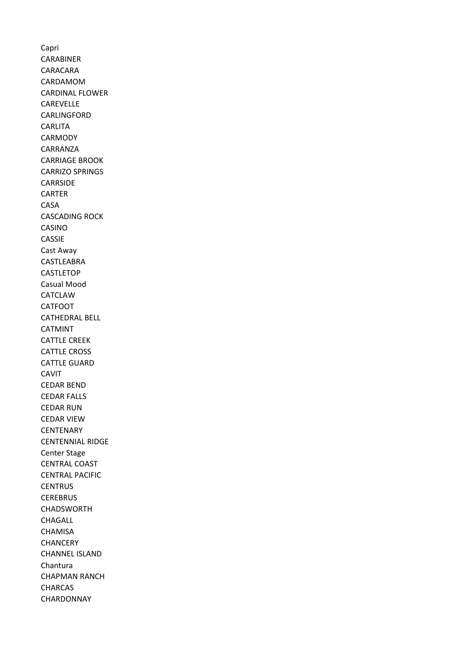Capri CARABINER CARACARA CARDAMOM CARDINAL FLOWER CAREVELLE CARLINGFORD CARLITA CARMODY CARRANZA CARRIAGE BROOK CARRIZO SPRINGS CARRSIDE CARTER CASA CASCADING ROCK CASINO CASSIE Cast Away CASTLEABRA **CASTLETOP** Casual Mood CATCLAW CATFOOT CATHEDRAL BELL CATMINT CATTLE CREEK CATTLE CROSS CATTLE GUARD CAVIT CEDAR BEND CEDAR FALLS CEDAR RUN CEDAR VIEW **CENTENARY** CENTENNIAL RIDGE Center Stage CENTRAL COAST CENTRAL PACIFIC **CENTRUS CEREBRUS** CHADSWORTH CHAGALL **CHAMISA CHANCERY** CHANNEL ISLAND Chantura CHAPMAN RANCH CHARCAS CHARDONNAY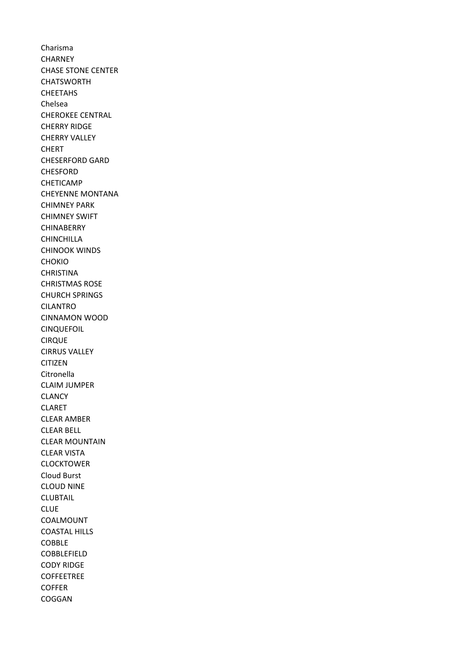Charisma **CHARNEY** CHASE STONE CENTER **CHATSWORTH** CHEETAHS Chelsea CHEROKEE CENTRAL CHERRY RIDGE CHERRY VALLEY CHERT CHESERFORD GARD CHESFORD CHETICAMP CHEYENNE MONTANA CHIMNEY PARK CHIMNEY SWIFT CHINABERRY CHINCHILLA CHINOOK WINDS CHOKIO **CHRISTINA** CHRISTMAS ROSE CHURCH SPRINGS CILANTRO CINNAMON WOOD CINQUEFOIL CIRQUE CIRRUS VALLEY CITIZEN Citronella CLAIM JUMPER CLANCY CLARET CLEAR AMBER CLEAR BELL CLEAR MOUNTAIN CLEAR VISTA CLOCKTOWER Cloud Burst CLOUD NINE CLUBTAIL CLUE COALMOUNT COASTAL HILLS COBBLE COBBLEFIELD CODY RIDGE **COFFEETREE** COFFER COGGAN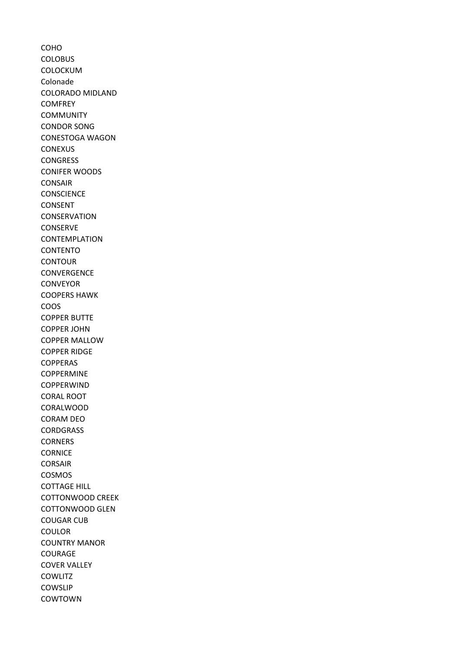COHO **COLOBUS** COLOCKUM Colonade COLORADO MIDLAND **COMFREY COMMUNITY** CONDOR SONG CONESTOGA WAGON **CONEXUS CONGRESS** CONIFER WOODS CONSAIR **CONSCIENCE** CONSENT CONSERVATION CONSERVE CONTEMPLATION CONTENTO **CONTOUR CONVERGENCE** CONVEYOR COOPERS HAWK COOS COPPER BUTTE COPPER JOHN COPPER MALLOW COPPER RIDGE COPPERAS COPPERMINE **COPPERWIND** CORAL ROOT CORALWOOD CORAM DEO **CORDGRASS CORNERS CORNICE** CORSAIR COSMOS COTTAGE HILL COTTONWOOD CREEK COTTONWOOD GLEN COUGAR CUB COULOR COUNTRY MANOR COURAGE COVER VALLEY **COWLITZ** COWSLIP COWTOWN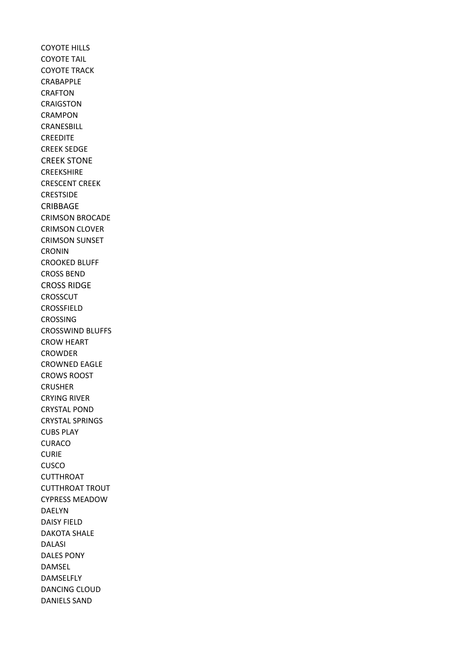COYOTE HILLS COYOTE TAIL COYOTE TRACK CRABAPPLE CRAFTON CRAIGSTON CRAMPON CRANESBILL CREEDITE CREEK SEDGE CREEK STONE CREEKSHIRE CRESCENT CREEK CRESTSIDE CRIBBAGE CRIMSON BROCADE CRIMSON CLOVER CRIMSON SUNSET CRONIN CROOKED BLUFF CROSS BEND CROSS RIDGE **CROSSCUT** CROSSFIELD CROSSING CROSSWIND BLUFFS CROW HEART CROWDER CROWNED EAGLE CROWS ROOST CRUSHER CRYING RIVER CRYSTAL POND CRYSTAL SPRINGS CUBS PLAY **CURACO** CURIE CUSCO CUTTHROAT CUTTHROAT TROUT CYPRESS MEADOW DAELYN DAISY FIELD DAKOTA SHALE DALASI DALES PONY DAMSEL DAMSELFLY DANCING CLOUD DANIELS SAND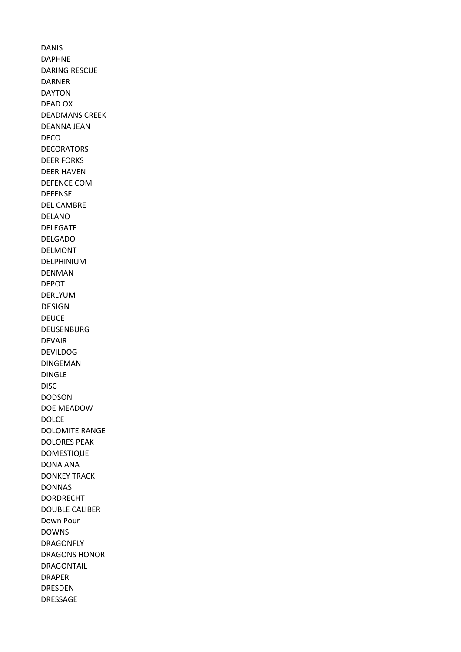DANIS DAPHNE DARING RESCUE DARNER DAYTON DEAD OX DEADMANS CREEK DEANNA JEAN DECO DECORATORS DEER FORKS DEER HAVEN DEFENCE COM DEFENSE DEL CAMBRE DELANO DELEGATE DELGADO DELMONT DELPHINIUM DENMAN DEPOT DERLYUM DESIGN DEUCE DEUSENBURG DEVAIR DEVILDOG DINGEMAN DINGLE DISC DODSON DOE MEADOW DOLCE DOLOMITE RANGE DOLORES PEAK DOMESTIQUE DONA ANA DONKEY TRACK DONNAS DORDRECHT DOUBLE CALIBER Down Pour DOWNS DRAGONFLY DRAGONS HONOR DRAGONTAIL DRAPER DRESDEN DRESSAGE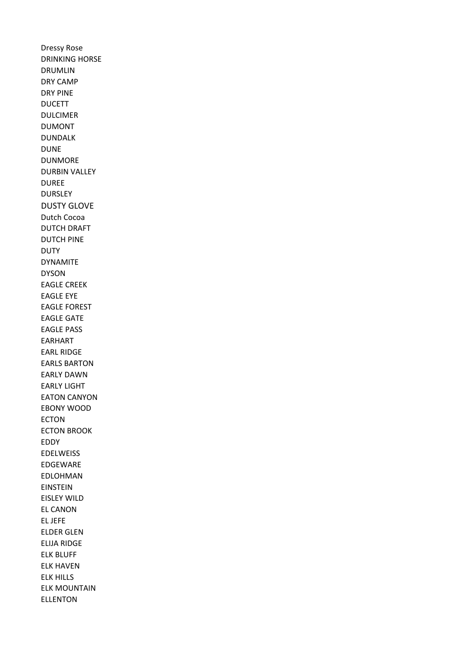Dressy Rose DRINKING HORSE DRUMLIN DRY CAMP DRY PINE DUCETT DULCIMER DUMONT DUNDALK DUNE DUNMORE DURBIN VALLEY DUREE DURSLEY DUSTY GLOVE Dutch Cocoa DUTCH DRAFT DUTCH PINE **DUTY** DYNAMITE DYSON EAGLE CREEK EAGLE EYE EAGLE FOREST EAGLE GATE EAGLE PASS EARHART EARL RIDGE EARLS BARTON EARLY DAWN EARLY LIGHT EATON CANYON EBONY WOOD ECTON ECTON BROOK EDDY EDELWEISS EDGEWARE EDLOHMAN EINSTEIN EISLEY WILD EL CANON EL JEFE ELDER GLEN ELIJA RIDGE ELK BLUFF ELK HAVEN ELK HILLS ELK MOUNTAIN ELLENTON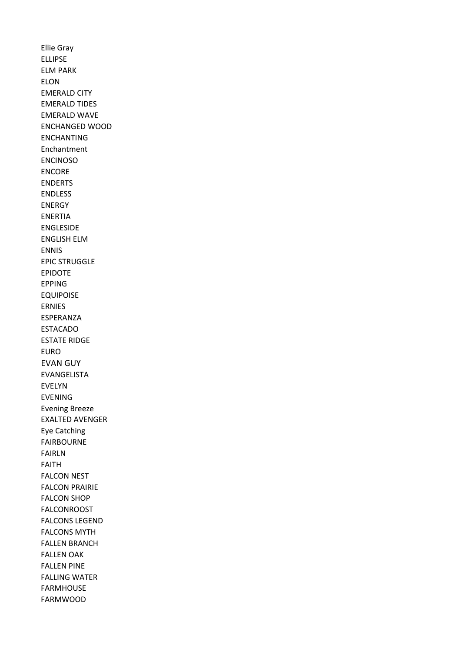Ellie Gray ELLIPSE ELM PARK ELON EMERALD CITY EMERALD TIDES EMERALD WAVE ENCHANGED WOOD ENCHANTING Enchantment ENCINOSO ENCORE ENDERTS ENDLESS ENERGY ENERTIA ENGLESIDE ENGLISH ELM ENNIS EPIC STRUGGLE EPIDOTE EPPING EQUIPOISE ERNIES ESPERANZA ESTACADO ESTATE RIDGE EURO EVAN GUY EVANGELISTA EVELYN EVENING Evening Breeze EXALTED AVENGER Eye Catching FAIRBOURNE FAIRLN FAITH FALCON NEST FALCON PRAIRIE FALCON SHOP FALCONROOST FALCONS LEGEND FALCONS MYTH FALLEN BRANCH FALLEN OAK FALLEN PINE FALLING WATER FARMHOUSE FARMWOOD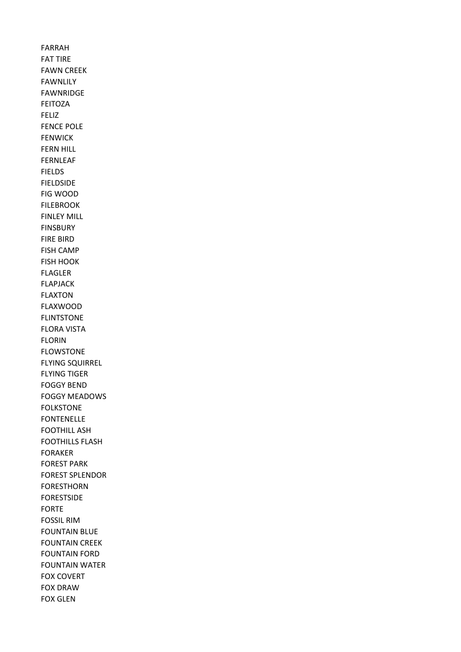FARRAH FAT TIRE FAWN CREEK FAWNLILY FAWNRIDGE FEITOZA FELIZ FENCE POLE FENWICK FERN HILL FERNLEAF FIELDS FIELDSIDE FIG WOOD FILEBROOK FINLEY MILL FINSBURY FIRE BIRD FISH CAMP FISH HOOK FLAGLER FLAPJACK FLAXTON FLAXWOOD FLINTSTONE FLORA VISTA FLORIN FLOWSTONE FLYING SQUIRREL FLYING TIGER FOGGY BEND FOGGY MEADOWS FOLKSTONE FONTENELLE FOOTHILL ASH FOOTHILLS FLASH FORAKER FOREST PARK FOREST SPLENDOR FORESTHORN FORESTSIDE FORTE FOSSIL RIM FOUNTAIN BLUE FOUNTAIN CREEK FOUNTAIN FORD FOUNTAIN WATER FOX COVERT FOX DRAW FOX GLEN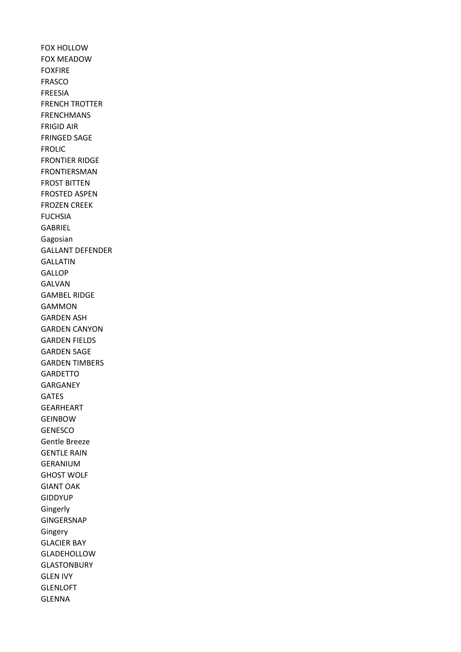FOX HOLLOW FOX MEADOW FOXFIRE FRASCO FREESIA FRENCH TROTTER FRENCHMANS FRIGID AIR FRINGED SAGE FROLIC FRONTIER RIDGE FRONTIERSMAN FROST BITTEN FROSTED ASPEN FROZEN CREEK **FUCHSIA** GABRIEL Gagosian GALLANT DEFENDER GALLATIN GALLOP GALVAN GAMBEL RIDGE GAMMON GARDEN ASH GARDEN CANYON GARDEN FIELDS GARDEN SAGE GARDEN TIMBERS **GARDETTO** GARGANEY GATES GEARHEART GEINBOW GENESCO Gentle Breeze GENTLE RAIN GERANIUM GHOST WOLF GIANT OAK GIDDYUP Gingerly GINGERSNAP Gingery GLACIER BAY GLADEHOLLOW GLASTONBURY GLEN IVY GLENLOFT GLENNA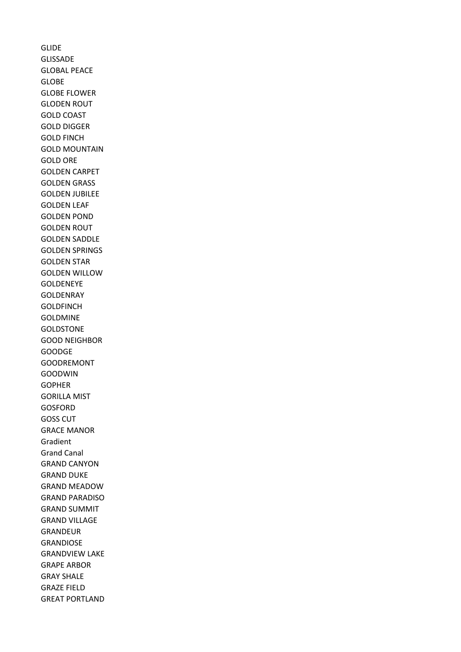GLIDE GLISSADE GLOBAL PEACE GLOBE GLOBE FLOWER GLODEN ROUT GOLD COAST GOLD DIGGER GOLD FINCH GOLD MOUNTAIN GOLD ORE GOLDEN CARPET GOLDEN GRASS GOLDEN JUBILEE GOLDEN LEAF GOLDEN POND GOLDEN ROUT GOLDEN SADDLE GOLDEN SPRINGS GOLDEN STAR GOLDEN WILLOW GOLDENEYE GOLDENRAY **GOLDFINCH** GOLDMINE GOLDSTONE GOOD NEIGHBOR GOODGE GOODREMONT GOODWIN GOPHER GORILLA MIST GOSFORD GOSS CUT GRACE MANOR Gradient Grand Canal GRAND CANYON GRAND DUKE GRAND MEADOW GRAND PARADISO GRAND SUMMIT GRAND VILLAGE GRANDEUR GRANDIOSE GRANDVIEW LAKE GRAPE ARBOR GRAY SHALE GRAZE FIELD GREAT PORTLAND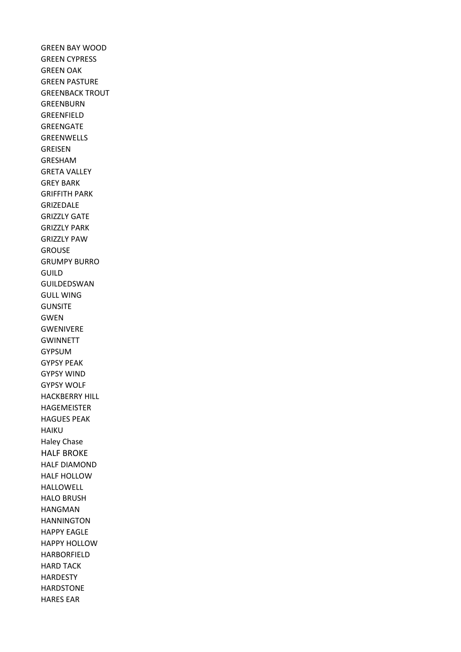GREEN BAY WOOD GREEN CYPRESS GREEN OAK GREEN PASTURE GREENBACK TROUT GREENBURN GREENFIELD GREENGATE GREENWELLS GREISEN GRESHAM GRETA VALLEY GREY BARK GRIFFITH PARK GRIZEDALE GRIZZLY GATE GRIZZLY PARK GRIZZLY PAW GROUSE GRUMPY BURRO GUILD GUILDEDSWAN GULL WING GUNSITE GWEN GWENIVERE GWINNETT GYPSUM GYPSY PEAK GYPSY WIND GYPSY WOLF HACKBERRY HILL HAGEMEISTER HAGUES PEAK HAIKU Haley Chase HALF BROKE HALF DIAMOND HALF HOLLOW HALLOWELL HALO BRUSH HANGMAN HANNINGTON HAPPY EAGLE HAPPY HOLLOW HARBORFIELD HARD TACK HARDESTY HARDSTONE HARES EAR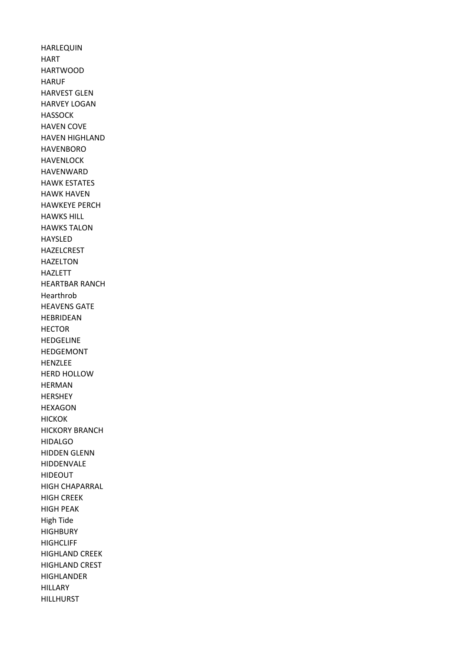HARLEQUIN HART HARTWOOD HARUF HARVEST GLEN HARVEY LOGAN HASSOCK HAVEN COVE HAVEN HIGHLAND HAVENBORO HAVENLOCK HAVENWARD HAWK ESTATES HAWK HAVEN HAWKEYE PERCH HAWKS HILL HAWKS TALON HAYSLED HAZELCREST HAZELTON HAZLETT HEARTBAR RANCH Hearthrob HEAVENS GATE HEBRIDEAN HECTOR HEDGELINE HEDGEMONT HENZLEE HERD HOLLOW HERMAN HERSHEY HEXAGON HICKOK HICKORY BRANCH HIDALGO HIDDEN GLENN HIDDENVALE HIDEOUT HIGH CHAPARRAL HIGH CREEK HIGH PEAK High Tide **HIGHBURY HIGHCLIFF** HIGHLAND CREEK HIGHLAND CREST HIGHLANDER **HILLARY** HILLHURST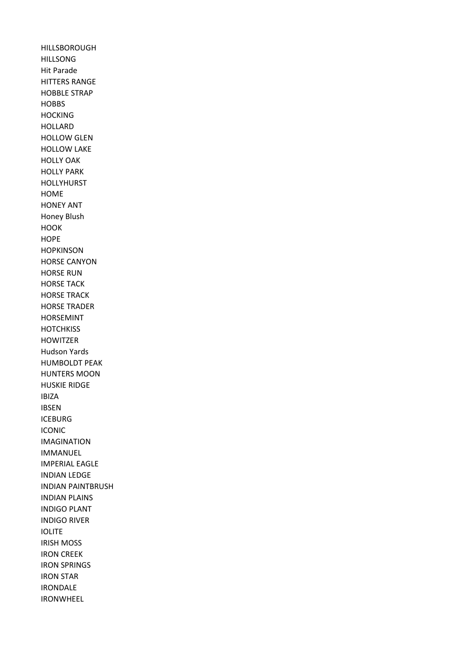HILLSBOROUGH HILLSONG Hit Parade HITTERS RANGE HOBBLE STRAP HOBBS **HOCKING** HOLLARD HOLLOW GLEN HOLLOW LAKE HOLLY OAK HOLLY PARK HOLLYHURST HOME HONEY ANT Honey Blush **HOOK HOPE HOPKINSON** HORSE CANYON HORSE RUN HORSE TACK HORSE TRACK HORSE TRADER HORSEMINT **HOTCHKISS** HOWITZER Hudson Yards HUMBOLDT PEAK HUNTERS MOON HUSKIE RIDGE IBIZA IBSEN ICEBURG ICONIC IMAGINATION IMMANUEL IMPERIAL EAGLE INDIAN LEDGE INDIAN PAINTBRUSH INDIAN PLAINS INDIGO PLANT INDIGO RIVER IOLITE IRISH MOSS IRON CREEK IRON SPRINGS IRON STAR IRONDALE IRONWHEEL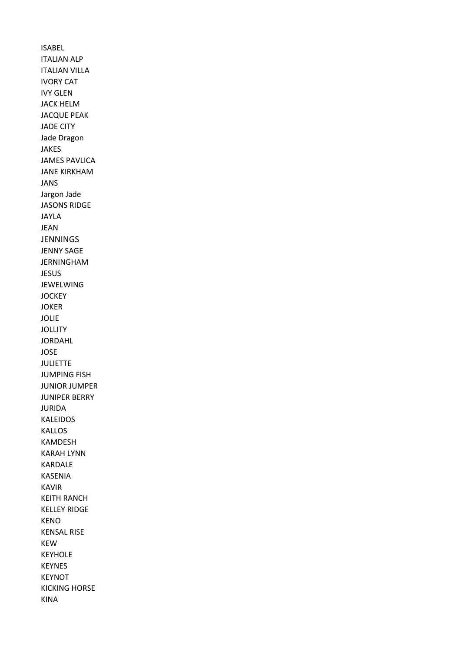ISABEL ITALIAN ALP ITALIAN VILLA IVORY CAT IVY GLEN JACK HELM JACQUE PEAK JADE CITY Jade Dragon JAKES JAMES PAVLICA JANE KIRKHAM JANS Jargon Jade JASONS RIDGE JAYLA JEAN JENNINGS JENNY SAGE JERNINGHAM JESUS JEWELWING **JOCKEY** JOKER JOLIE **JOLLITY** JORDAHL JOSE JULIETTE JUMPING FISH JUNIOR JUMPER JUNIPER BERRY JURIDA KALEIDOS KALLOS KAMDESH KARAH LYNN KARDALE KASENIA KAVIR KEITH RANCH KELLEY RIDGE KENO KENSAL RISE KEW KEYHOLE KEYNES KEYNOT KICKING HORSE KINA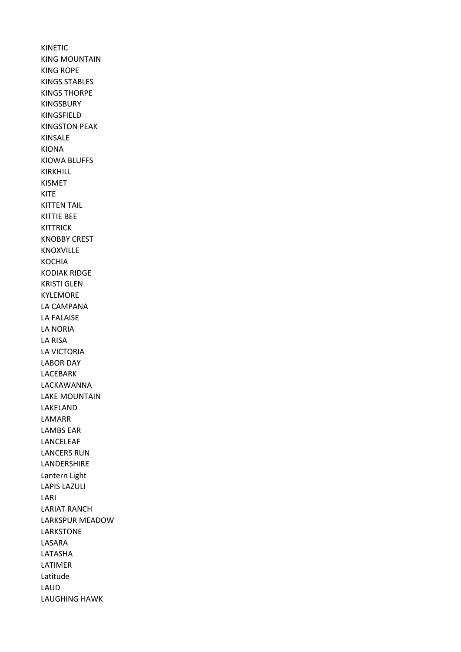KINETIC KING MOUNTAIN KING ROPE KINGS STABLES KINGS THORPE KINGSBURY KINGSFIELD KINGSTON PEAK KINSALE KIONA KIOWA BLUFFS KIRKHILL KISMET KITE KITTEN TAIL KITTIE BEE KITTRICK KNOBBY CREST KNOXVILLE KOCHIA KODIAK RIDGE KRISTI GLEN KYLEMORE LA CAMPANA LA FALAISE LA NORIA LA RISA LA VICTORIA LABOR DAY LACEBARK LACKAWANNA LAKE MOUNTAIN LAKELAND LAMARR LAMBS EAR LANCELEAF LANCERS RUN LANDERSHIRE Lantern Light LAPIS LAZULI LARI LARIAT RANCH LARKSPUR MEADOW LARKSTONE LASARA LATASHA LATIMER Latitude LAUD LAUGHING HAWK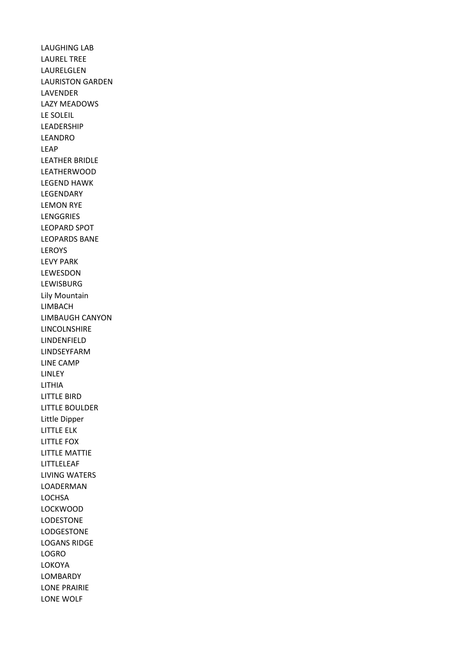LAUGHING LAB LAUREL TREE LAURELGLEN LAURISTON GARDEN LAVENDER LAZY MEADOWS LE SOLEIL LEADERSHIP LEANDRO LEAP LEATHER BRIDLE LEATHERWOOD LEGEND HAWK LEGENDARY LEMON RYE LENGGRIES LEOPARD SPOT LEOPARDS BANE LEROYS LEVY PARK LEWESDON LEWISBURG Lily Mountain LIMBACH LIMBAUGH CANYON LINCOLNSHIRE LINDENFIELD LINDSEYFARM LINE CAMP LINLEY LITHIA LITTLE BIRD LITTLE BOULDER Little Dipper LITTLE ELK LITTLE FOX LITTLE MATTIE LITTLELEAF LIVING WATERS LOADERMAN **LOCHSA** LOCKWOOD LODESTONE LODGESTONE LOGANS RIDGE LOGRO LOKOYA LOMBARDY LONE PRAIRIE LONE WOLF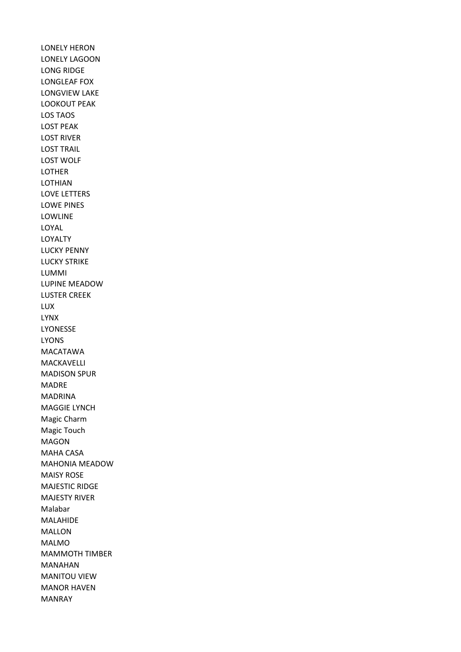LONELY HERON LONELY LAGOON LONG RIDGE LONGLEAF FOX LONGVIEW LAKE LOOKOUT PEAK LOS TAOS LOST PEAK LOST RIVER LOST TRAIL LOST WOLF LOTHER LOTHIAN LOVE LETTERS LOWE PINES LOWLINE LOYAL LOYALTY LUCKY PENNY LUCKY STRIKE LUMMI LUPINE MEADOW LUSTER CREEK LUX LYNX LYONESSE LYONS MACATAWA MACKAVELLI MADISON SPUR MADRE MADRINA MAGGIE LYNCH Magic Charm Magic Touch MAGON MAHA CASA MAHONIA MEADOW MAISY ROSE MAJESTIC RIDGE MAJESTY RIVER Malabar MALAHIDE MALLON MALMO MAMMOTH TIMBER MANAHAN MANITOU VIEW MANOR HAVEN MANRAY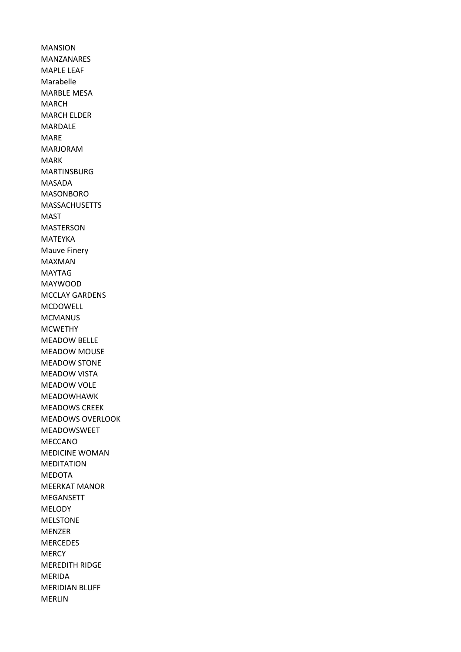MANSION MANZANARES MAPLE LEAF Marabelle MARBLE MESA MARCH MARCH ELDER MARDALE MARE MARJORAM MARK MARTINSBURG MASADA MASONBORO MASSACHUSETTS MAST MASTERSON MATEYKA Mauve Finery MAXMAN MAYTAG MAYWOOD MCCLAY GARDENS MCDOWELL MCMANUS MCWETHY MEADOW BELLE MEADOW MOUSE MEADOW STONE MEADOW VISTA MEADOW VOLE MEADOWHAWK MEADOWS CREEK MEADOWS OVERLOOK MEADOWSWEET MECCANO MEDICINE WOMAN MEDITATION MEDOTA MEERKAT MANOR MEGANSETT MELODY MELSTONE MENZER MERCEDES **MERCY** MEREDITH RIDGE MERIDA MERIDIAN BLUFF MERLIN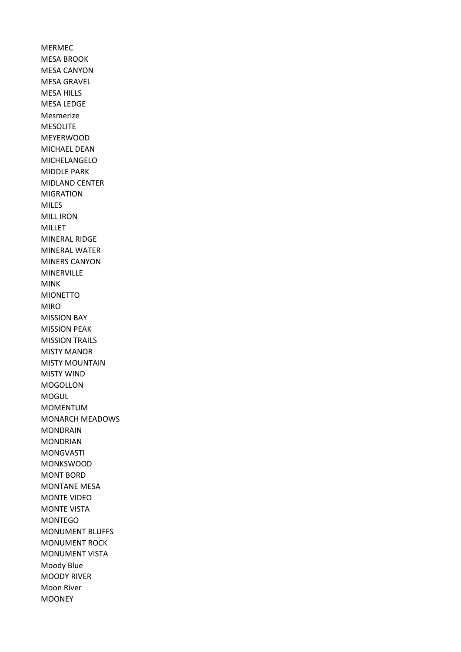MERMEC MESA BROOK MESA CANYON MESA GRAVEL MESA HILLS MESA LEDGE Mesmerize MESOLITE MEYERWOOD MICHAEL DEAN MICHELANGELO MIDDLE PARK MIDLAND CENTER MIGRATION MILES MILL IRON MILLET MINERAL RIDGE MINERAL WATER MINERS CANYON MINERVILLE MINK MIONETTO MIRO MISSION BAY MISSION PEAK MISSION TRAILS MISTY MANOR MISTY MOUNTAIN MISTY WIND MOGOLLON MOGUL MOMENTUM MONARCH MEADOWS MONDRAIN **MONDRIAN** MONGVASTI MONKSWOOD MONT BORD MONTANE MESA MONTE VIDEO MONTE VISTA MONTEGO MONUMENT BLUFFS MONUMENT ROCK MONUMENT VISTA Moody Blue MOODY RIVER Moon River MOONEY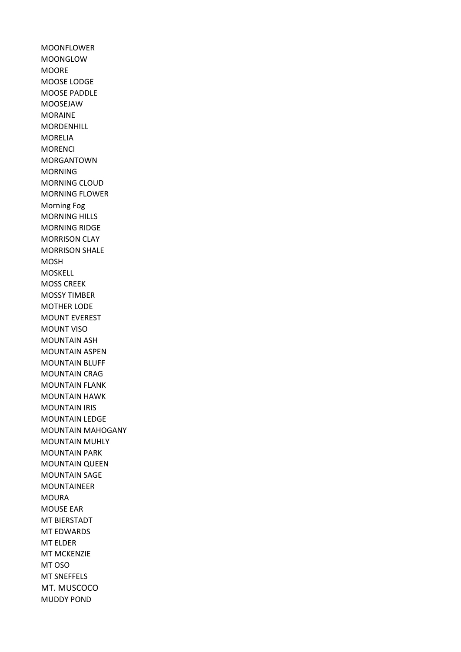MOONFLOWER MOONGLOW MOORE MOOSE LODGE MOOSE PADDLE MOOSEJAW MORAINE MORDENHILL MORELIA MORENCI MORGANTOWN MORNING MORNING CLOUD MORNING FLOWER Morning Fog MORNING HILLS MORNING RIDGE MORRISON CLAY MORRISON SHALE MOSH MOSKELL MOSS CREEK MOSSY TIMBER MOTHER LODE MOUNT EVEREST MOUNT VISO MOUNTAIN ASH MOUNTAIN ASPEN MOUNTAIN BLUFF MOUNTAIN CRAG MOUNTAIN FLANK MOUNTAIN HAWK MOUNTAIN IRIS MOUNTAIN LEDGE MOUNTAIN MAHOGANY MOUNTAIN MUHLY MOUNTAIN PARK MOUNTAIN QUEEN MOUNTAIN SAGE MOUNTAINEER MOURA MOUSE EAR MT BIERSTADT MT EDWARDS MT ELDER MT MCKENZIE MT OSO MT SNEFFELS MT. MUSCOCO MUDDY POND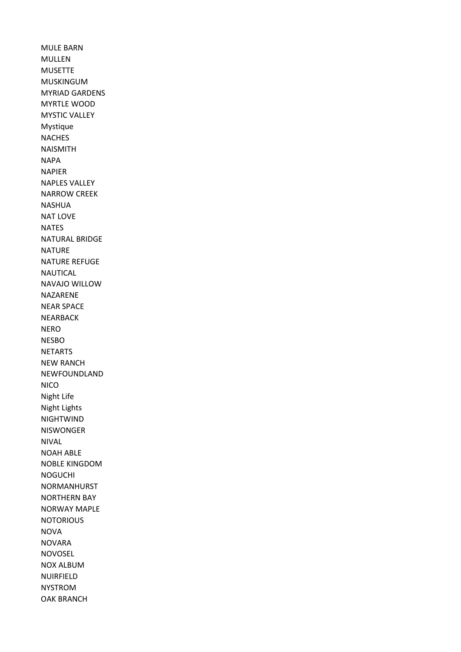MULE BARN MULLEN MUSETTE MUSKINGUM MYRIAD GARDENS MYRTLE WOOD MYSTIC VALLEY Mystique NACHES NAISMITH NAPA NAPIER NAPLES VALLEY NARROW CREEK NASHUA NAT LOVE NATES NATURAL BRIDGE **NATURE** NATURE REFUGE NAUTICAL NAVAJO WILLOW NAZARENE NEAR SPACE NEARBACK NERO NESBO NETARTS NEW RANCH NEWFOUNDLAND **NICO** Night Life Night Lights NIGHTWIND NISWONGER NIVAL NOAH ABLE NOBLE KINGDOM NOGUCHI NORMANHURST NORTHERN BAY NORWAY MAPLE **NOTORIOUS** NOVA NOVARA NOVOSEL NOX ALBUM NUIRFIELD NYSTROM OAK BRANCH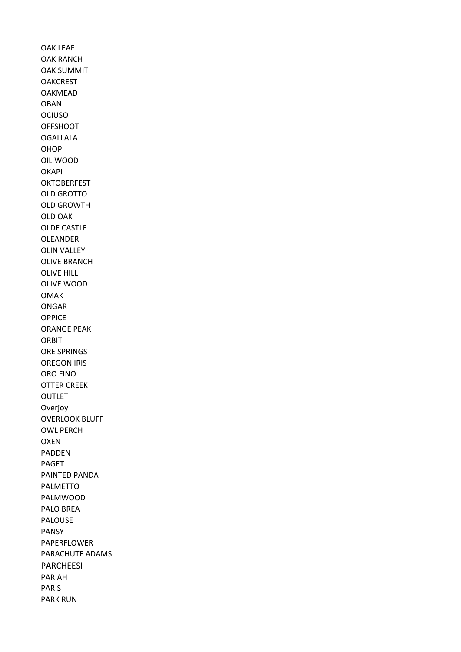OAK LEAF OAK RANCH OAK SUMMIT **OAKCREST** OAKMEAD OBAN OCIUSO **OFFSHOOT** OGALLALA OHOP OIL WOOD **OKAPI OKTOBERFEST** OLD GROTTO OLD GROWTH OLD OAK OLDE CASTLE OLEANDER OLIN VALLEY OLIVE BRANCH OLIVE HILL OLIVE WOOD OMAK ONGAR **OPPICE** ORANGE PEAK ORBIT ORE SPRINGS OREGON IRIS ORO FINO OTTER CREEK OUTLET Overjoy OVERLOOK BLUFF OWL PERCH OXEN PADDEN PAGET PAINTED PANDA PALMETTO PALMWOOD PALO BREA PALOUSE PANSY PAPERFLOWER PARACHUTE ADAMS PARCHEESI PARIAH PARIS PARK RUN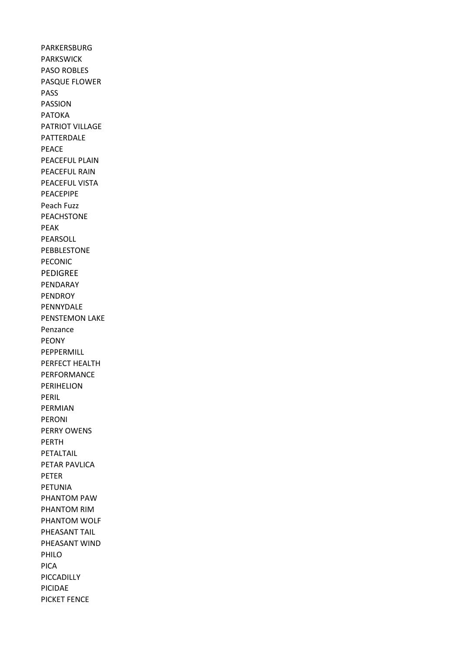PARKERSBURG PARKSWICK PASO ROBLES PASQUE FLOWER PASS PASSION PATOKA PATRIOT VILLAGE PATTERDALE PEACE PEACEFUL PLAIN PEACEFUL RAIN PEACEFUL VISTA PEACEPIPE Peach Fuzz PEACHSTONE PEAK PEARSOLL PEBBLESTONE PECONIC PEDIGREE PENDARAY PENDROY PENNYDALE PENSTEMON LAKE Penzance PEONY PEPPERMILL PERFECT HEALTH PERFORMANCE PERIHELION PERIL PERMIAN PERONI PERRY OWENS PERTH PETALTAIL PETAR PAVLICA PETER PETUNIA PHANTOM PAW PHANTOM RIM PHANTOM WOLF PHEASANT TAIL PHEASANT WIND PHILO PICA PICCADILLY PICIDAE PICKET FENCE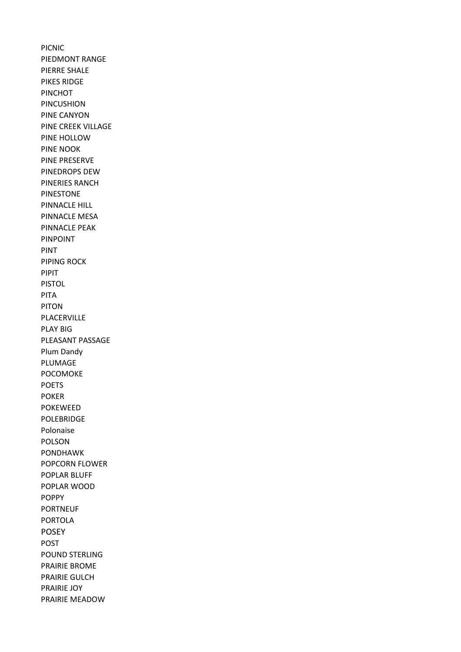PICNIC PIEDMONT RANGE PIERRE SHALE PIKES RIDGE PINCHOT PINCUSHION PINE CANYON PINE CREEK VILLAGE PINE HOLLOW PINE NOOK PINE PRESERVE PINEDROPS DEW PINERIES RANCH PINESTONE PINNACLE HILL PINNACLE MESA PINNACLE PEAK PINPOINT PINT PIPING ROCK PIPIT PISTOL PITA PITON PLACERVILLE PLAY BIG PLEASANT PASSAGE Plum Dandy PLUMAGE POCOMOKE POETS POKER POKEWEED POLEBRIDGE Polonaise POLSON PONDHAWK POPCORN FLOWER POPLAR BLUFF POPLAR WOOD POPPY PORTNEUF PORTOLA POSEY POST POUND STERLING PRAIRIE BROME PRAIRIE GULCH PRAIRIE JOY PRAIRIE MEADOW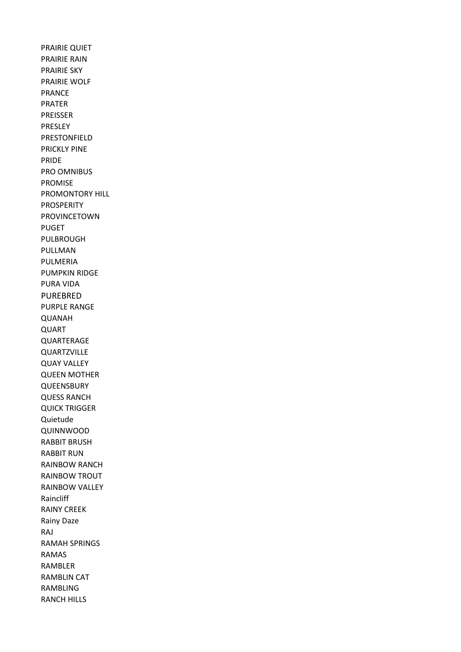PRAIRIE QUIET PRAIRIE RAIN PRAIRIE SKY PRAIRIE WOLF PRANCE PRATER PREISSER PRESLEY PRESTONFIELD PRICKLY PINE PRIDE PRO OMNIBUS PROMISE PROMONTORY HILL PROSPERITY PROVINCETOWN PUGET PULBROUGH PULLMAN PULMERIA PUMPKIN RIDGE PURA VIDA PUREBRED PURPLE RANGE QUANAH QUART QUARTERAGE QUARTZVILLE QUAY VALLEY QUEEN MOTHER **QUEENSBURY** QUESS RANCH QUICK TRIGGER Quietude QUINNWOOD RABBIT BRUSH RABBIT RUN RAINBOW RANCH RAINBOW TROUT RAINBOW VALLEY Raincliff RAINY CREEK Rainy Daze RAJ RAMAH SPRINGS RAMAS RAMBLER RAMBLIN CAT RAMBLING RANCH HILLS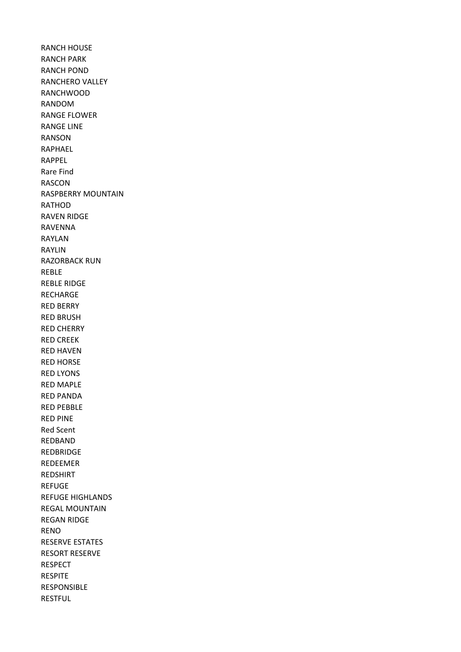RANCH HOUSE RANCH PARK RANCH POND RANCHERO VALLEY RANCHWOOD RANDOM RANGE FLOWER RANGE LINE RANSON RAPHAEL RAPPEL Rare Find RASCON RASPBERRY MOUNTAIN RATHOD RAVEN RIDGE RAVENNA RAYLAN RAYLIN RAZORBACK RUN REBLE REBLE RIDGE RECHARGE RED BERRY RED BRUSH RED CHERRY RED CREEK RED HAVEN RED HORSE RED LYONS RED MAPLE RED PANDA RED PEBBLE RED PINE Red Scent REDBAND REDBRIDGE REDEEMER REDSHIRT REFUGE REFUGE HIGHLANDS REGAL MOUNTAIN REGAN RIDGE RENO RESERVE ESTATES RESORT RESERVE RESPECT RESPITE RESPONSIBLE RESTFUL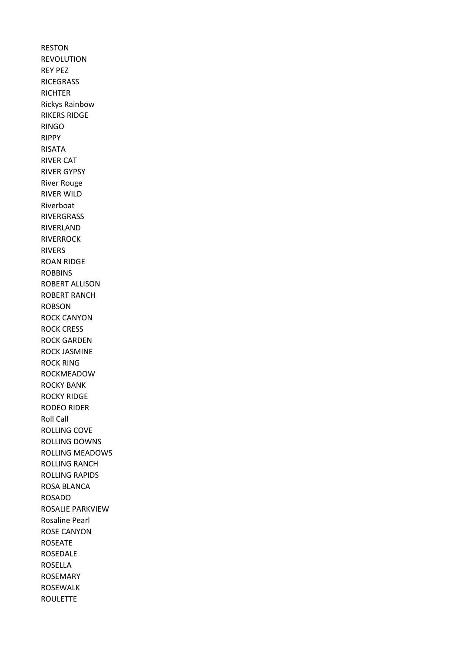RESTON REVOLUTION REY PEZ RICEGRASS **RICHTER** Rickys Rainbow RIKERS RIDGE RINGO RIPPY RISATA RIVER CAT RIVER GYPSY River Rouge RIVER WILD Riverboat RIVERGRASS RIVERLAND RIVERROCK RIVERS ROAN RIDGE **ROBBINS** ROBERT ALLISON ROBERT RANCH ROBSON ROCK CANYON ROCK CRESS ROCK GARDEN ROCK JASMINE ROCK RING ROCKMEADOW ROCKY BANK ROCKY RIDGE RODEO RIDER Roll Call ROLLING COVE ROLLING DOWNS ROLLING MEADOWS ROLLING RANCH ROLLING RAPIDS ROSA BLANCA ROSADO ROSALIE PARKVIEW Rosaline Pearl ROSE CANYON ROSEATE ROSEDALE ROSELLA ROSEMARY ROSEWALK ROULETTE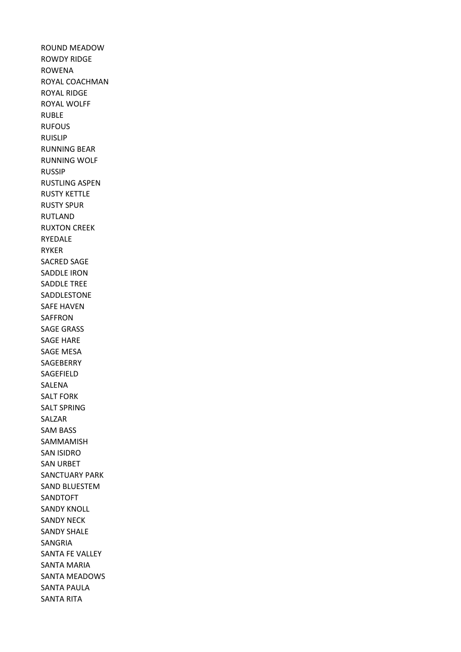ROUND MEADOW ROWDY RIDGE ROWENA ROYAL COACHMAN ROYAL RIDGE ROYAL WOLFF RUBLE RUFOUS RUISLIP RUNNING BEAR RUNNING WOLF RUSSIP RUSTLING ASPEN RUSTY KETTLE RUSTY SPUR RUTLAND RUXTON CREEK RYEDALE RYKER SACRED SAGE SADDLE IRON SADDLE TREE SADDLESTONE SAFE HAVEN SAFFRON SAGE GRASS SAGE HARE SAGE MESA SAGEBERRY SAGEFIELD SALENA SALT FORK SALT SPRING SALZAR SAM BASS SAMMAMISH SAN ISIDRO SAN URBET SANCTUARY PARK SAND BLUESTEM SANDTOFT SANDY KNOLL SANDY NECK SANDY SHALE SANGRIA SANTA FE VALLEY SANTA MARIA SANTA MEADOWS SANTA PAULA SANTA RITA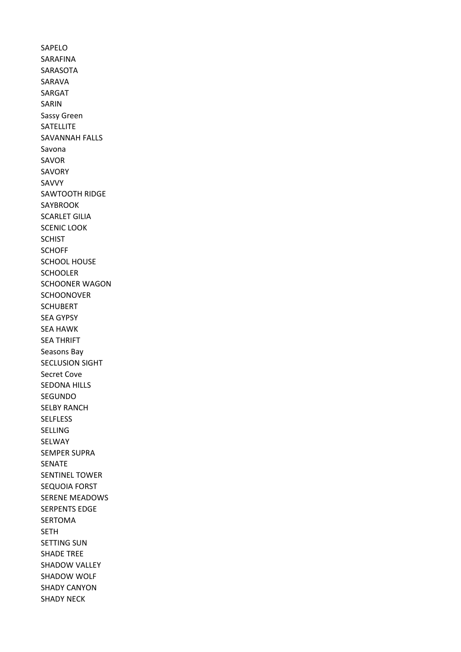SAPELO SARAFINA SARASOTA SARAVA SARGAT SARIN Sassy Green **SATELLITE** SAVANNAH FALLS Savona SAVOR SAVORY SAVVY SAWTOOTH RIDGE SAYBROOK SCARLET GILIA SCENIC LOOK SCHIST **SCHOFF** SCHOOL HOUSE SCHOOLER SCHOONER WAGON **SCHOONOVER SCHUBERT** SEA GYPSY SEA HAWK SEA THRIFT Seasons Bay SECLUSION SIGHT Secret Cove SEDONA HILLS SEGUNDO SELBY RANCH SELFLESS SELLING SELWAY SEMPER SUPRA SENATE SENTINEL TOWER SEQUOIA FORST SERENE MEADOWS SERPENTS EDGE SERTOMA SETH SETTING SUN SHADE TREE SHADOW VALLEY SHADOW WOLF SHADY CANYON SHADY NECK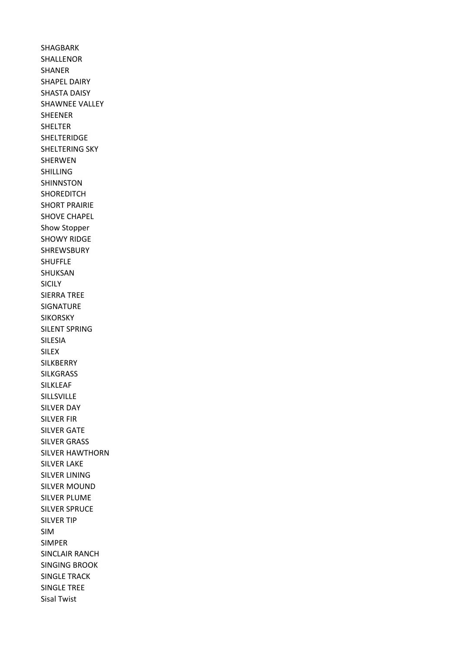SHAGBARK SHALLENOR SHANER SHAPEL DAIRY SHASTA DAISY SHAWNEE VALLEY SHEENER SHELTER SHELTERIDGE SHELTERING SKY SHERWEN SHILLING SHINNSTON SHOREDITCH SHORT PRAIRIE SHOVE CHAPEL Show Stopper SHOWY RIDGE SHREWSBURY SHUFFLE SHUKSAN SICILY SIERRA TREE SIGNATURE **SIKORSKY** SILENT SPRING SILESIA SILEX SILKBERRY SILKGRASS SILKLEAF SILLSVILLE SILVER DAY SILVER FIR SILVER GATE SILVER GRASS SILVER HAWTHORN SILVER LAKE SILVER LINING SILVER MOUND SILVER PLUME SILVER SPRUCE SILVER TIP SIM SIMPER SINCLAIR RANCH SINGING BROOK SINGLE TRACK SINGLE TREE Sisal Twist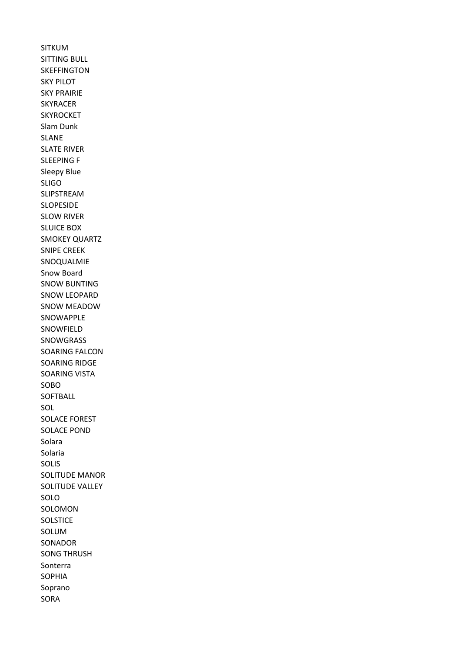SITKUM SITTING BULL **SKEFFINGTON** SKY PILOT SKY PRAIRIE SKYRACER **SKYROCKET** Slam Dunk SLANE SLATE RIVER SLEEPING F Sleepy Blue SLIGO SLIPSTREAM SLOPESIDE SLOW RIVER SLUICE BOX SMOKEY QUARTZ SNIPE CREEK SNOQUALMIE Snow Board SNOW BUNTING SNOW LEOPARD SNOW MEADOW SNOWAPPLE SNOWFIELD SNOWGRASS SOARING FALCON SOARING RIDGE SOARING VISTA SOBO **SOFTBALL** SOL SOLACE FOREST SOLACE POND Solara Solaria SOLIS SOLITUDE MANOR SOLITUDE VALLEY SOLO SOLOMON **SOLSTICE** SOLUM SONADOR SONG THRUSH Sonterra SOPHIA Soprano SORA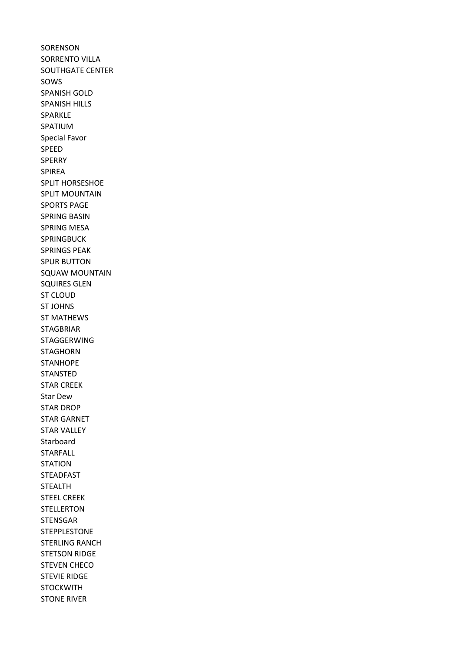**SORENSON** SORRENTO VILLA SOUTHGATE CENTER SOWS SPANISH GOLD SPANISH HILLS SPARKLE SPATIUM Special Favor SPEED SPERRY SPIREA SPLIT HORSESHOE SPLIT MOUNTAIN SPORTS PAGE SPRING BASIN SPRING MESA SPRINGBUCK SPRINGS PEAK SPUR BUTTON SQUAW MOUNTAIN SQUIRES GLEN ST CLOUD ST JOHNS ST MATHEWS STAGBRIAR STAGGERWING STAGHORN **STANHOPE STANSTED** STAR CREEK Star Dew STAR DROP STAR GARNET STAR VALLEY Starboard STARFALL STATION STEADFAST STEALTH STEEL CREEK STELLERTON STENSGAR STEPPLESTONE STERLING RANCH STETSON RIDGE STEVEN CHECO STEVIE RIDGE **STOCKWITH** STONE RIVER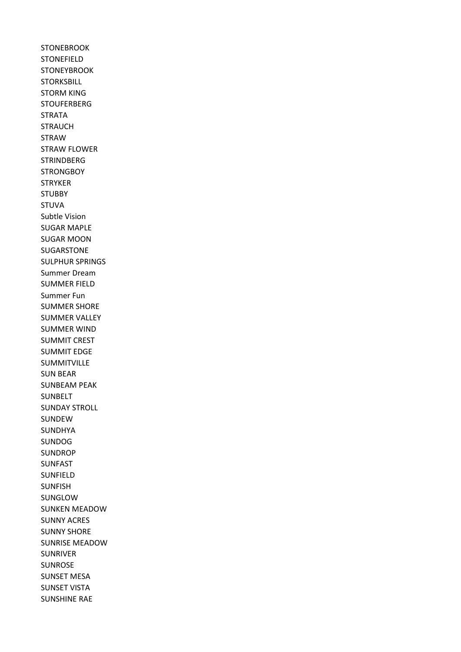**STONEBROOK** STONEFIELD **STONEYBROOK STORKSBILL** STORM KING **STOUFERBERG STRATA STRAUCH** STRAW STRAW FLOWER **STRINDBERG STRONGBOY STRYKER STUBBY** STUVA Subtle Vision SUGAR MAPLE SUGAR MOON SUGARSTONE SULPHUR SPRINGS Summer Dream SUMMER FIELD Summer Fun SUMMER SHORE SUMMER VALLEY SUMMER WIND SUMMIT CREST SUMMIT EDGE SUMMITVILLE SUN BEAR SUNBEAM PEAK SUNBELT SUNDAY STROLL SUNDEW SUNDHYA SUNDOG SUNDROP SUNFAST SUNFIELD SUNFISH SUNGLOW SUNKEN MEADOW SUNNY ACRES SUNNY SHORE SUNRISE MEADOW SUNRIVER SUNROSE SUNSET MESA SUNSET VISTA SUNSHINE RAE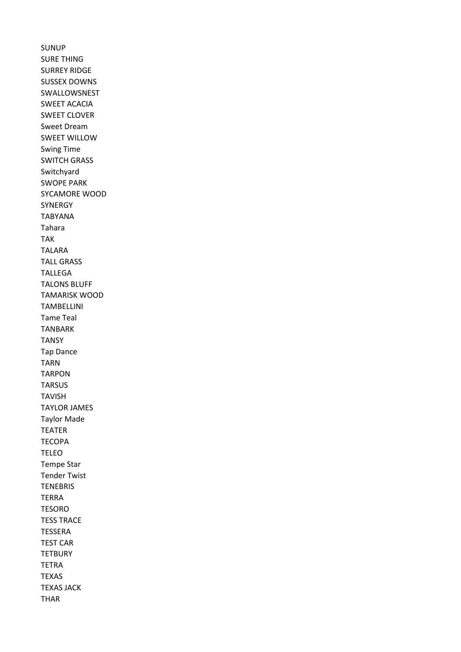SUNUP SURE THING SURREY RIDGE SUSSEX DOWNS SWALLOWSNEST SWEET ACACIA SWEET CLOVER Sweet Dream SWEET WILLOW Swing Time SWITCH GRASS Switchyard SWOPE PARK SYCAMORE WOOD **SYNERGY** TABYANA Tahara TAK TALARA TALL GRASS TALLEGA TALONS BLUFF TAMARISK WOOD TAMBELLINI Tame Teal TANBARK **TANSY** Tap Dance TARN TARPON **TARSUS** TAVISH TAYLOR JAMES Taylor Made TEATER **TECOPA** TELEO Tempe Star Tender Twist **TENEBRIS** TERRA TESORO TESS TRACE TESSERA TEST CAR **TETBURY** TETRA TEXAS TEXAS JACK THAR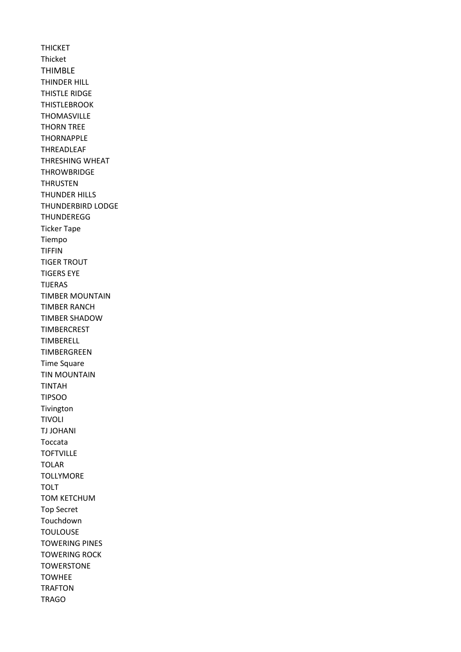THICKET Thicket THIMBLE THINDER HILL THISTLE RIDGE THISTLEBROOK THOMASVILLE THORN TREE THORNAPPLE THREADLEAF THRESHING WHEAT **THROWBRIDGE** THRUSTEN THUNDER HILLS THUNDERBIRD LODGE **THUNDEREGG** Ticker Tape Tiempo TIFFIN TIGER TROUT TIGERS EYE TIJERAS TIMBER MOUNTAIN TIMBER RANCH TIMBER SHADOW TIMBERCREST TIMBERELL TIMBERGREEN Time Square TIN MOUNTAIN TINTAH TIPSOO Tivington TIVOLI TJ JOHANI Toccata TOFTVILLE TOLAR **TOLLYMORE** TOLT TOM KETCHUM Top Secret Touchdown TOULOUSE TOWERING PINES TOWERING ROCK **TOWERSTONE** TOWHEE TRAFTON TRAGO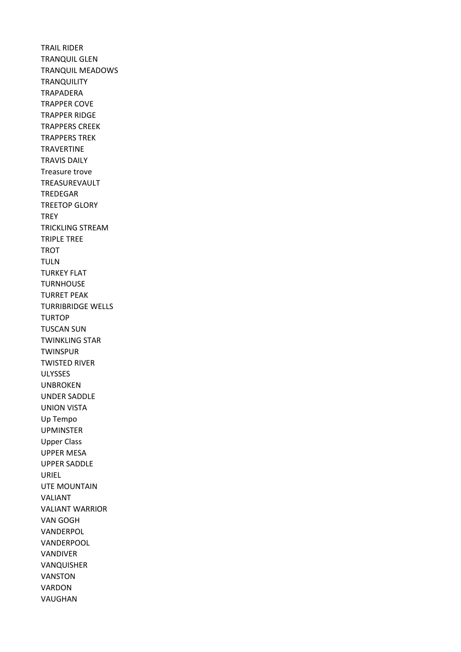TRAIL RIDER TRANQUIL GLEN TRANQUIL MEADOWS **TRANQUILITY** TRAPADERA TRAPPER COVE TRAPPER RIDGE TRAPPERS CREEK TRAPPERS TREK TRAVERTINE TRAVIS DAILY Treasure trove TREASUREVAULT TREDEGAR TREETOP GLORY **TREY** TRICKLING STREAM TRIPLE TREE TROT TULN TURKEY FLAT TURNHOUSE TURRET PEAK TURRIBRIDGE WELLS TURTOP TUSCAN SUN TWINKLING STAR **TWINSPUR** TWISTED RIVER ULYSSES UNBROKEN UNDER SADDLE UNION VISTA Up Tempo UPMINSTER Upper Class UPPER MESA UPPER SADDLE URIEL UTE MOUNTAIN VALIANT VALIANT WARRIOR VAN GOGH VANDERPOL VANDERPOOL VANDIVER VANQUISHER VANSTON VARDON VAUGHAN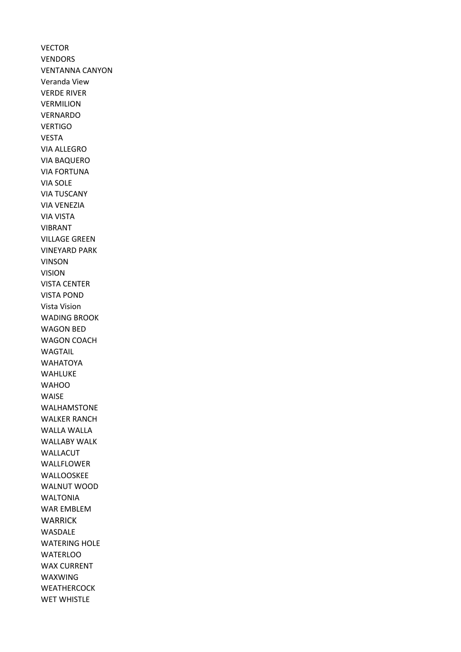VECTOR VENDORS VENTANNA CANYON Veranda View VERDE RIVER VERMILION VERNARDO VERTIGO VESTA VIA ALLEGRO VIA BAQUERO VIA FORTUNA VIA SOLE VIA TUSCANY VIA VENEZIA VIA VISTA VIBRANT VILLAGE GREEN VINEYARD PARK VINSON VISION VISTA CENTER VISTA POND Vista Vision WADING BROOK WAGON BED WAGON COACH WAGTAIL WAHATOYA WAHLUKE **WAHOO** WAISE WALHAMSTONE WALKER RANCH WALLA WALLA WALLABY WALK WALLACUT WALLFLOWER WALLOOSKEE WALNUT WOOD WALTONIA WAR EMBLEM WARRICK WASDALE WATERING HOLE **WATERLOO** WAX CURRENT WAXWING **WEATHERCOCK** WET WHISTLE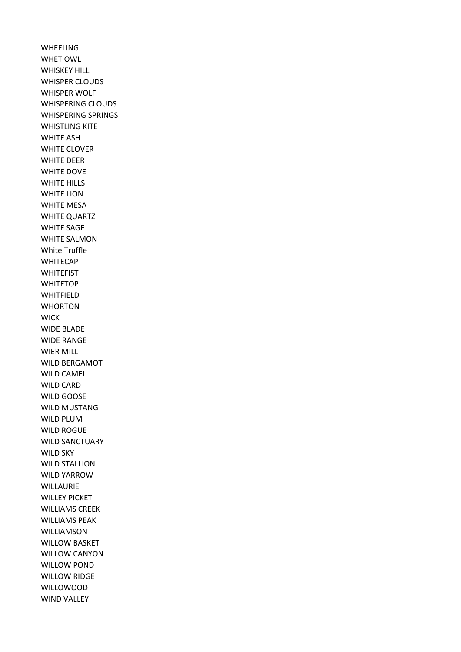WHEELING WHET OWL WHISKEY HILL WHISPER CLOUDS WHISPER WOLF WHISPERING CLOUDS WHISPERING SPRINGS WHISTLING KITE WHITE ASH WHITE CLOVER WHITE DEER WHITE DOVE WHITE HILLS WHITE LION WHITE MESA WHITE QUARTZ WHITE SAGE WHITE SALMON White Truffle WHITECAP **WHITEFIST WHITETOP** WHITFIELD WHORTON **WICK** WIDE BLADE WIDE RANGE WIER MILL WILD BERGAMOT WILD CAMEL WILD CARD WILD GOOSE WILD MUSTANG WILD PLUM WILD ROGUE WILD SANCTUARY WILD SKY WILD STALLION WILD YARROW WILLAURIE WILLEY PICKET WILLIAMS CREEK WILLIAMS PEAK WILLIAMSON WILLOW BASKET WILLOW CANYON WILLOW POND WILLOW RIDGE WILLOWOOD WIND VALLEY